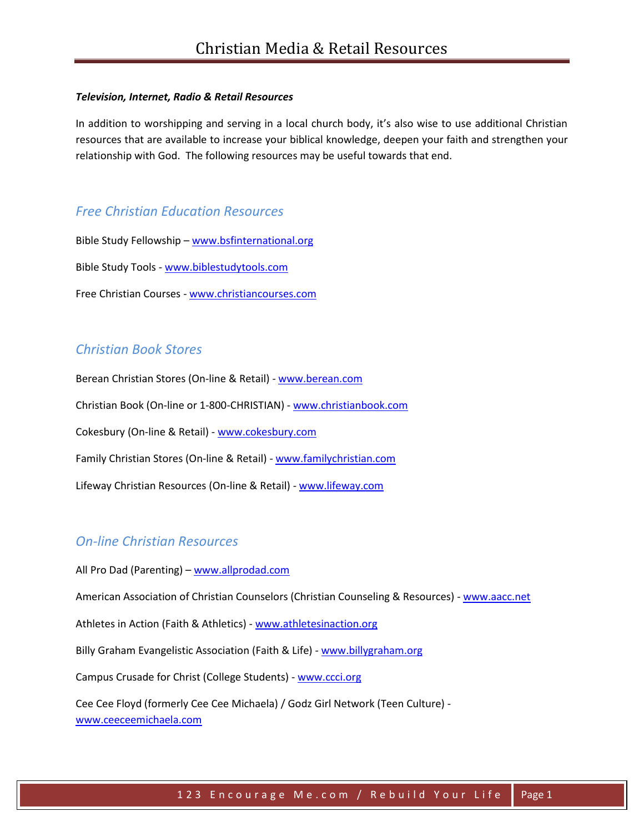#### *Television, Internet, Radio & Retail Resources*

In addition to worshipping and serving in a local church body, it's also wise to use additional Christian resources that are available to increase your biblical knowledge, deepen your faith and strengthen your relationship with God. The following resources may be useful towards that end.

#### *Free Christian Education Resources*

Bible Study Fellowship – [www.bsfinternational.org](http://www.bsfinternational.org/) Bible Study Tools - [www.biblestudytools.com](http://www.biblestudytools.com/) Free Christian Courses - [www.christiancourses.com](http://www.christiancourses.com/)

### *Christian Book Stores*

Berean Christian Stores (On-line & Retail) - [www.berean.com](http://www.berean.com/) Christian Book (On-line or 1-800-CHRISTIAN) - [www.christianbook.com](http://www.christianbook.com/) Cokesbury (On-line & Retail) - [www.cokesbury.com](http://www.cokesbury.com/) Family Christian Stores (On-line & Retail) - [www.familychristian.com](http://www.familychristian.com/) Lifeway Christian Resources (On-line & Retail) - [www.lifeway.com](http://www.lifeway.com/)

## *On-line Christian Resources*

All Pro Dad (Parenting) – [www.allprodad.com](http://www.allprodad.com/) American Association of Christian Counselors (Christian Counseling & Resources) - [www.aacc.net](http://www.aacc.net/) Athletes in Action (Faith & Athletics) - [www.athletesinaction.org](http://www.athletesinaction.org/) Billy Graham Evangelistic Association (Faith & Life) - [www.billygraham.org](http://www.billygraham.org/)

Campus Crusade for Christ (College Students) - [www.ccci.org](http://www.ccci.org/)

Cee Cee Floyd (formerly Cee Cee Michaela) / Godz Girl Network (Teen Culture) [www.ceeceemichaela.com](http://www.ceeceemichaela.com/)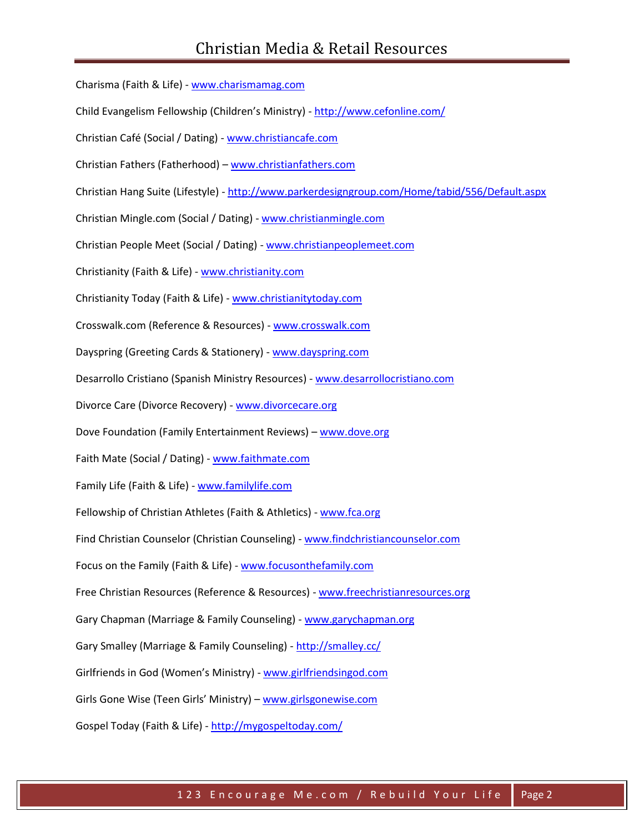Charisma (Faith & Life) - [www.charismamag.com](http://www.charismamag.com/) Child Evangelism Fellowship (Children's Ministry) - <http://www.cefonline.com/> Christian Café (Social / Dating) - [www.christiancafe.com](http://www.christiancafe.com/) Christian Fathers (Fatherhood) – [www.christianfathers.com](http://www.christianfathers.com/) Christian Hang Suite (Lifestyle) - <http://www.parkerdesigngroup.com/Home/tabid/556/Default.aspx> Christian Mingle.com (Social / Dating) - [www.christianmingle.com](http://www.christianmingle.com/) Christian People Meet (Social / Dating) - [www.christianpeoplemeet.com](http://www.christianpeoplemeet.com/) Christianity (Faith & Life) - [www.christianity.com](http://www.christianity.com/) Christianity Today (Faith & Life) - [www.christianitytoday.com](http://www.christianitytoday.com/) Crosswalk.com (Reference & Resources) - [www.crosswalk.com](http://www.crosswalk.com/) Dayspring (Greeting Cards & Stationery) - [www.dayspring.com](http://www.dayspring.com/) Desarrollo Cristiano (Spanish Ministry Resources) - [www.desarrollocristiano.com](http://www.desarrollocristiano.com/) Divorce Care (Divorce Recovery) - [www.divorcecare.org](http://www.divorcecare.org/) Dove Foundation (Family Entertainment Reviews) – [www.dove.org](http://www.dove.org/) Faith Mate (Social / Dating) - [www.faithmate.com](http://www.faithmate.com/) Family Life (Faith & Life) - [www.familylife.com](http://www.familylife.com/) Fellowship of Christian Athletes (Faith & Athletics) - [www.fca.org](http://www.fca.org/) Find Christian Counselor (Christian Counseling) - [www.findchristiancounselor.com](http://www.findchristiancounselor.com/) Focus on the Family (Faith & Life) - [www.focusonthefamily.com](http://www.focusonthefamily.com/) Free Christian Resources (Reference & Resources) - [www.freechristianresources.org](http://www.freechristianresources.org/) Gary Chapman (Marriage & Family Counseling) - [www.garychapman.org](http://www.garychapman.org/) Gary Smalley (Marriage & Family Counseling) - http://smalley.cc/ Girlfriends in God (Women's Ministry) - [www.girlfriendsingod.com](http://www.girlfriendsingod.com/) Girls Gone Wise (Teen Girls' Ministry) - [www.girlsgonewise.com](http://www.girlsgonewise.com/) Gospel Today (Faith & Life) - <http://mygospeltoday.com/>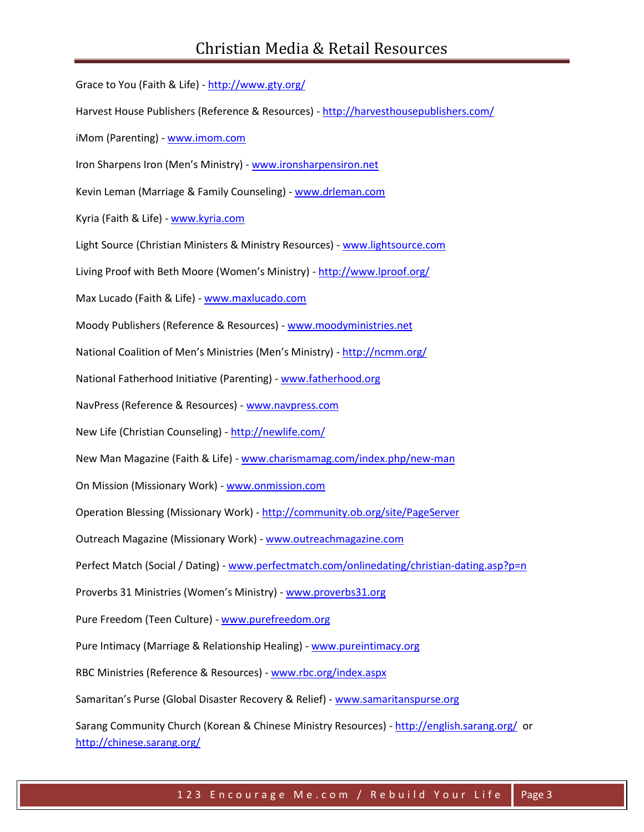Grace to You (Faith & Life) - <http://www.gty.org/> Harvest House Publishers (Reference & Resources) - <http://harvesthousepublishers.com/> iMom (Parenting) - [www.imom.com](http://www.imom.com/) Iron Sharpens Iron (Men's Ministry) - [www.ironsharpensiron.net](http://www.ironsharpensiron.net/) Kevin Leman (Marriage & Family Counseling) - [www.drleman.com](http://www.drleman.com/) Kyria (Faith & Life) - [www.kyria.com](http://www.kyria.com/) Light Source (Christian Ministers & Ministry Resources) - [www.lightsource.com](http://www.lightsource.com/) Living Proof with Beth Moore (Women's Ministry) - <http://www.lproof.org/> Max Lucado (Faith & Life) - [www.maxlucado.com](http://www.maxlucado.com/) Moody Publishers (Reference & Resources) - [www.moodyministries.net](http://www.moodyministries.net/) National Coalition of Men's Ministries (Men's Ministry) - <http://ncmm.org/> National Fatherhood Initiative (Parenting) - [www.fatherhood.org](http://www.fatherhood.org/) NavPress (Reference & Resources) - [www.navpress.com](http://www.navpress.com/) New Life (Christian Counseling) - <http://newlife.com/> New Man Magazine (Faith & Life) - [www.charismamag.com/index.php/new-man](http://www.charismamag.com/index.php/new-man) On Mission (Missionary Work) - [www.onmission.com](http://www.onmission.com/) Operation Blessing (Missionary Work) - <http://community.ob.org/site/PageServer> Outreach Magazine (Missionary Work) - [www.outreachmagazine.com](http://www.outreachmagazine.com/) Perfect Match (Social / Dating) - [www.perfectmatch.com/onlinedating/christian-dating.asp?p=n](http://www.perfectmatch.com/onlinedating/christian-dating.asp?p=n) Proverbs 31 Ministries (Women's Ministry) - [www.proverbs31.org](http://www.proverbs31.org/) Pure Freedom (Teen Culture) - [www.purefreedom.org](http://www.purefreedom.org/) Pure Intimacy (Marriage & Relationship Healing) - [www.pureintimacy.org](http://www.pureintimacy.org/) RBC Ministries (Reference & Resources) - [www.rbc.org/index.aspx](http://www.rbc.org/index.aspx) Samaritan's Purse (Global Disaster Recovery & Relief) - [www.samaritanspurse.org](http://www.samaritanspurse.org/) Sarang Community Church (Korean & Chinese Ministry Resources) - <http://english.sarang.org/> or <http://chinese.sarang.org/>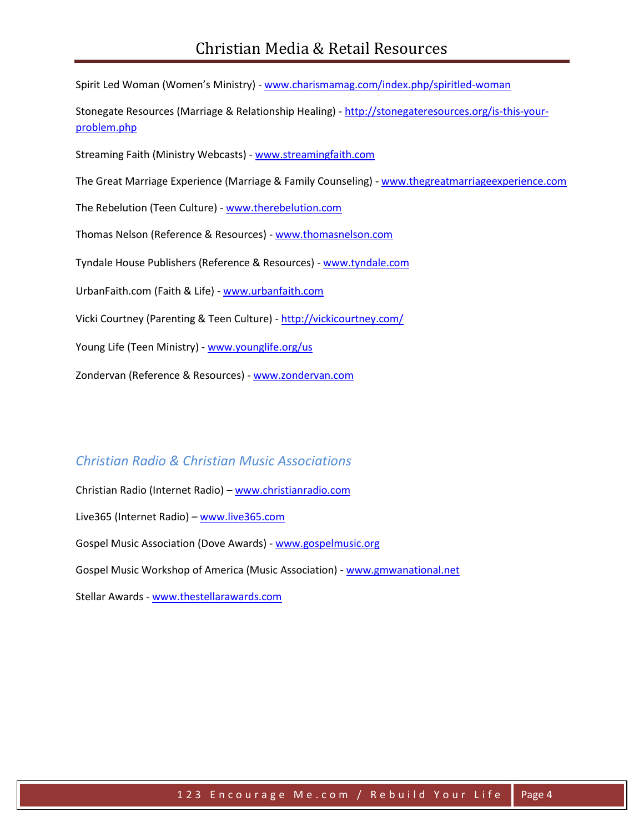Spirit Led Woman (Women's Ministry) - [www.charismamag.com/index.php/spiritled-woman](http://www.charismamag.com/index.php/spiritled-woman)

Stonegate Resources (Marriage & Relationship Healing) - [http://stonegateresources.org/is-this-your](http://stonegateresources.org/is-this-your-problem.php)[problem.php](http://stonegateresources.org/is-this-your-problem.php)

Streaming Faith (Ministry Webcasts) - [www.streamingfaith.com](http://www.streamingfaith.com/)

The Great Marriage Experience (Marriage & Family Counseling) - [www.thegreatmarriageexperience.com](http://www.thegreatmarriageexperience.com/)

The Rebelution (Teen Culture) - [www.therebelution.com](http://www.therebelution.com/)

Thomas Nelson (Reference & Resources) - [www.thomasnelson.com](http://www.thomasnelson.com/)

Tyndale House Publishers (Reference & Resources) - [www.tyndale.com](http://www.tyndale.com/)

UrbanFaith.com (Faith & Life) - [www.urbanfaith.com](http://www.urbanfaith.com/)

Vicki Courtney (Parenting & Teen Culture) - <http://vickicourtney.com/>

Young Life (Teen Ministry) - [www.younglife.org/us](http://www.younglife.org/us)

Zondervan (Reference & Resources) - [www.zondervan.com](http://www.zondervan.com/)

# *Christian Radio & Christian Music Associations*

Christian Radio (Internet Radio) – [www.christianradio.com](http://www.christianradio.com/) Live365 (Internet Radio) - [www.live365.com](http://www.live365.com/) Gospel Music Association (Dove Awards) - [www.gospelmusic.org](http://www.gospelmusic.org/)  Gospel Music Workshop of America (Music Association) - [www.gmwanational.net](http://www.gmwanational.net/) Stellar Awards - [www.thestellarawards.com](http://www.thestellarawards.com/)